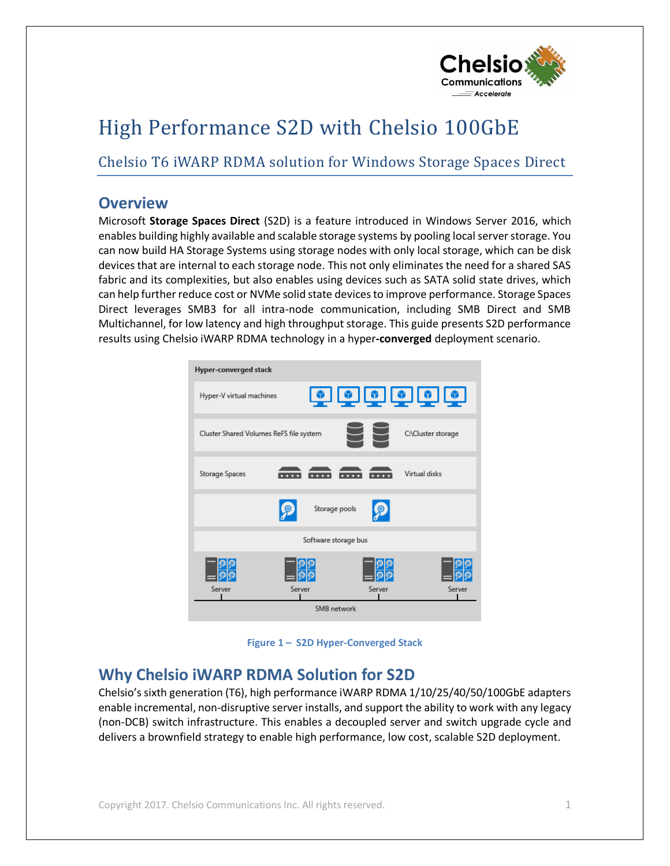

# High Performance S2D with Chelsio 100GbE

Chelsio T6 iWARP RDMA solution for Windows Storage Spaces Direct

### **Overview**

Microsoft **Storage Spaces Direct** (S2D) is a feature introduced in Windows Server 2016, which enables building highly available and scalable storage systems by pooling local server storage. You can now build HA Storage Systems using storage nodes with only local storage, which can be disk devices that are internal to each storage node. This not only eliminates the need for a shared SAS fabric and its complexities, but also enables using devices such as SATA solid state drives, which can help further reduce cost or NVMe solid state devices to improve performance. Storage Spaces Direct leverages SMB3 for all intra-node communication, including SMB Direct and SMB Multichannel, for low latency and high throughput storage. This guide presents S2D performance results using Chelsio iWARP RDMA technology in a hyper**-converged** deployment scenario.



**Figure 1 – S2D Hyper-Converged Stack**

# **Why Chelsio iWARP RDMA Solution for S2D**

Chelsio's sixth generation (T6), high performance iWARP RDMA 1/10/25/40/50/100GbE adapters enable incremental, non-disruptive server installs, and support the ability to work with any legacy (non-DCB) switch infrastructure. This enables a decoupled server and switch upgrade cycle and delivers a brownfield strategy to enable high performance, low cost, scalable S2D deployment.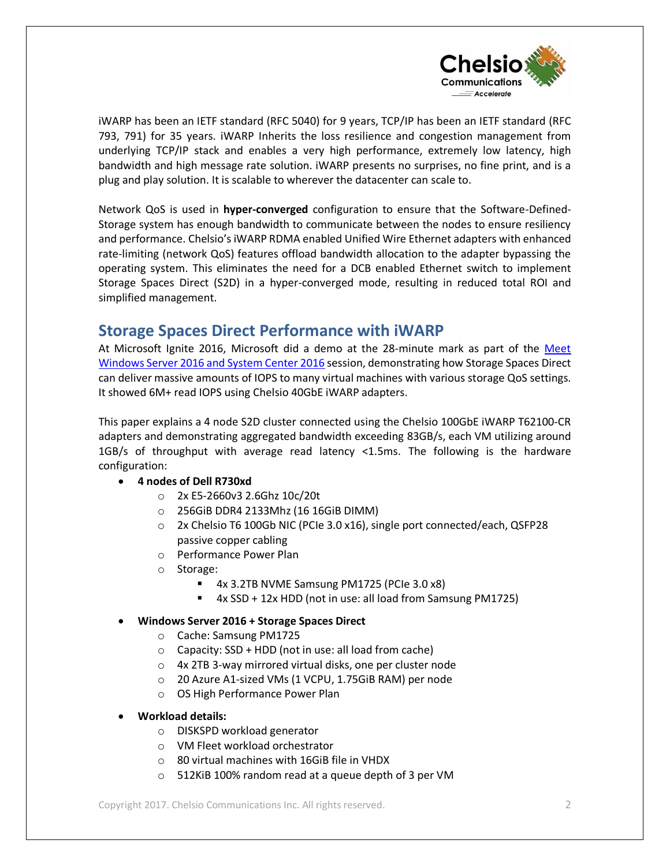

iWARP has been an IETF standard (RFC 5040) for 9 years, TCP/IP has been an IETF standard (RFC 793, 791) for 35 years. iWARP Inherits the loss resilience and congestion management from underlying TCP/IP stack and enables a very high performance, extremely low latency, high bandwidth and high message rate solution. iWARP presents no surprises, no fine print, and is a plug and play solution. It is scalable to wherever the datacenter can scale to.

Network QoS is used in **hyper-converged** configuration to ensure that the Software-Defined-Storage system has enough bandwidth to communicate between the nodes to ensure resiliency and performance. Chelsio's iWARP RDMA enabled Unified Wire Ethernet adapters with enhanced rate-limiting (network QoS) features offload bandwidth allocation to the adapter bypassing the operating system. This eliminates the need for a DCB enabled Ethernet switch to implement Storage Spaces Direct (S2D) in a hyper-converged mode, resulting in reduced total ROI and simplified management.

## **Storage Spaces Direct Performance with iWARP**

At Microsoft Ignite 2016, Microsoft did a demo at the 28-minute mark as part of the [Meet](https://myignite.microsoft.com/videos/3199)  [Windows Server 2016 and System Center 2016](https://myignite.microsoft.com/videos/3199) session, demonstrating how Storage Spaces Direct can deliver massive amounts of IOPS to many virtual machines with various storage QoS settings. It showed 6M+ read IOPS using Chelsio 40GbE iWARP adapters.

This paper explains a 4 node S2D cluster connected using the Chelsio 100GbE iWARP T62100-CR adapters and demonstrating aggregated bandwidth exceeding 83GB/s, each VM utilizing around 1GB/s of throughput with average read latency <1.5ms. The following is the hardware configuration:

#### • **4 nodes of Dell R730xd**

- o 2x E5-2660v3 2.6Ghz 10c/20t
- o 256GiB DDR4 2133Mhz (16 16GiB DIMM)
- o 2x Chelsio T6 100Gb NIC (PCIe 3.0 x16), single port connected/each, QSFP28 passive copper cabling
- o Performance Power Plan
- o Storage:
	- 4x 3.2TB NVME Samsung PM1725 (PCIe 3.0 x8)
	- 4x SSD + 12x HDD (not in use: all load from Samsung PM1725)

#### • **Windows Server 2016 + Storage Spaces Direct**

- o Cache: Samsung PM1725
- o Capacity: SSD + HDD (not in use: all load from cache)
- o 4x 2TB 3-way mirrored virtual disks, one per cluster node
- o 20 Azure A1-sized VMs (1 VCPU, 1.75GiB RAM) per node
- o OS High Performance Power Plan

#### • **Workload details:**

- o DISKSPD workload generator
- o VM Fleet workload orchestrator
- $\circ$  80 virtual machines with 16GiB file in VHDX
- o 512KiB 100% random read at a queue depth of 3 per VM